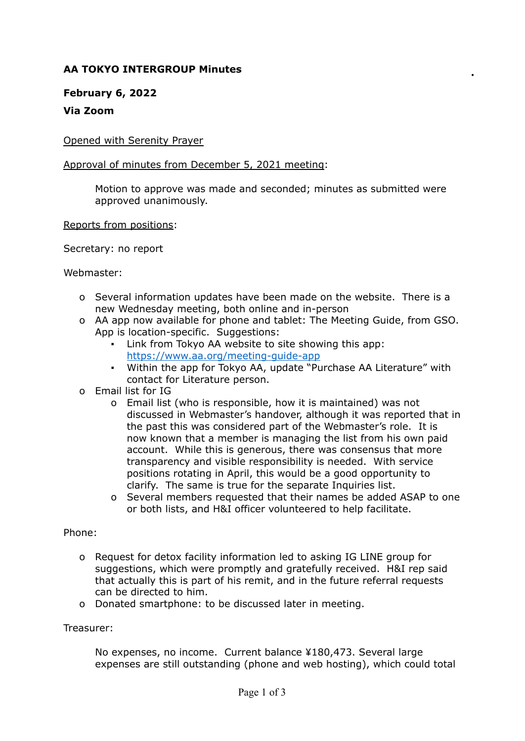# **AA TOKYO INTERGROUP Minutes**

## **February 6, 2022**

## **Via Zoom**

Opened with Serenity Prayer

### Approval of minutes from December 5, 2021 meeting:

Motion to approve was made and seconded; minutes as submitted were approved unanimously.

#### Reports from positions:

Secretary: no report

Webmaster:

- o Several information updates have been made on the website. There is a new Wednesday meeting, both online and in-person
- o AA app now available for phone and tablet: The Meeting Guide, from GSO. App is location-specific. Suggestions:
	- Link from Tokyo AA website to site showing this app: <https://www.aa.org/meeting-guide-app>
	- Within the app for Tokyo AA, update "Purchase AA Literature" with contact for Literature person.
- o Email list for IG
	- o Email list (who is responsible, how it is maintained) was not discussed in Webmaster's handover, although it was reported that in the past this was considered part of the Webmaster's role. It is now known that a member is managing the list from his own paid account. While this is generous, there was consensus that more transparency and visible responsibility is needed. With service positions rotating in April, this would be a good opportunity to clarify. The same is true for the separate Inquiries list.
	- o Several members requested that their names be added ASAP to one or both lists, and H&I officer volunteered to help facilitate.

## Phone:

- o Request for detox facility information led to asking IG LINE group for suggestions, which were promptly and gratefully received. H&I rep said that actually this is part of his remit, and in the future referral requests can be directed to him.
- o Donated smartphone: to be discussed later in meeting.

#### Treasurer:

No expenses, no income. Current balance ¥180,473. Several large expenses are still outstanding (phone and web hosting), which could total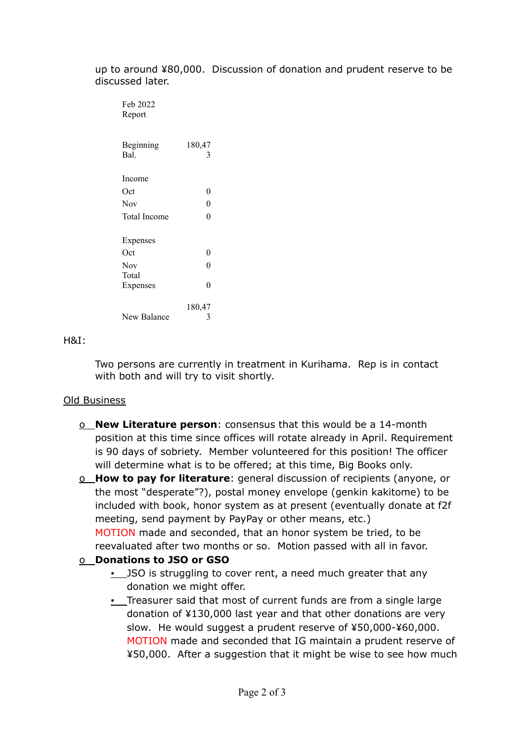up to around ¥80,000. Discussion of donation and prudent reserve to be discussed later.

| Feb 2022<br>Report  |             |
|---------------------|-------------|
| Beginning<br>Bal.   | 180,47<br>3 |
| Income              |             |
| Oct                 | 0           |
| <b>Nov</b>          | $\theta$    |
| <b>Total Income</b> | $\theta$    |
| Expenses            |             |
| Oct                 | 0           |
| Nov                 | $\theta$    |
| Total               |             |
| Expenses            | $\Omega$    |
|                     | 180,47      |
| New Balance         | 3           |

#### H&I:

Two persons are currently in treatment in Kurihama. Rep is in contact with both and will try to visit shortly.

## Old Business

o **New Literature person**: consensus that this would be a 14-month position at this time since offices will rotate already in April. Requirement is 90 days of sobriety. Member volunteered for this position! The officer will determine what is to be offered; at this time, Big Books only.

o **How to pay for literature**: general discussion of recipients (anyone, or the most "desperate"?), postal money envelope (genkin kakitome) to be included with book, honor system as at present (eventually donate at f2f meeting, send payment by PayPay or other means, etc.)

MOTION made and seconded, that an honor system be tried, to be reevaluated after two months or so. Motion passed with all in favor.

## o **Donations to JSO or GSO**

- **.** JSO is struggling to cover rent, a need much greater that any donation we might offer.
- **.** Treasurer said that most of current funds are from a single large donation of ¥130,000 last year and that other donations are very slow. He would suggest a prudent reserve of ¥50,000-¥60,000. MOTION made and seconded that IG maintain a prudent reserve of ¥50,000. After a suggestion that it might be wise to see how much